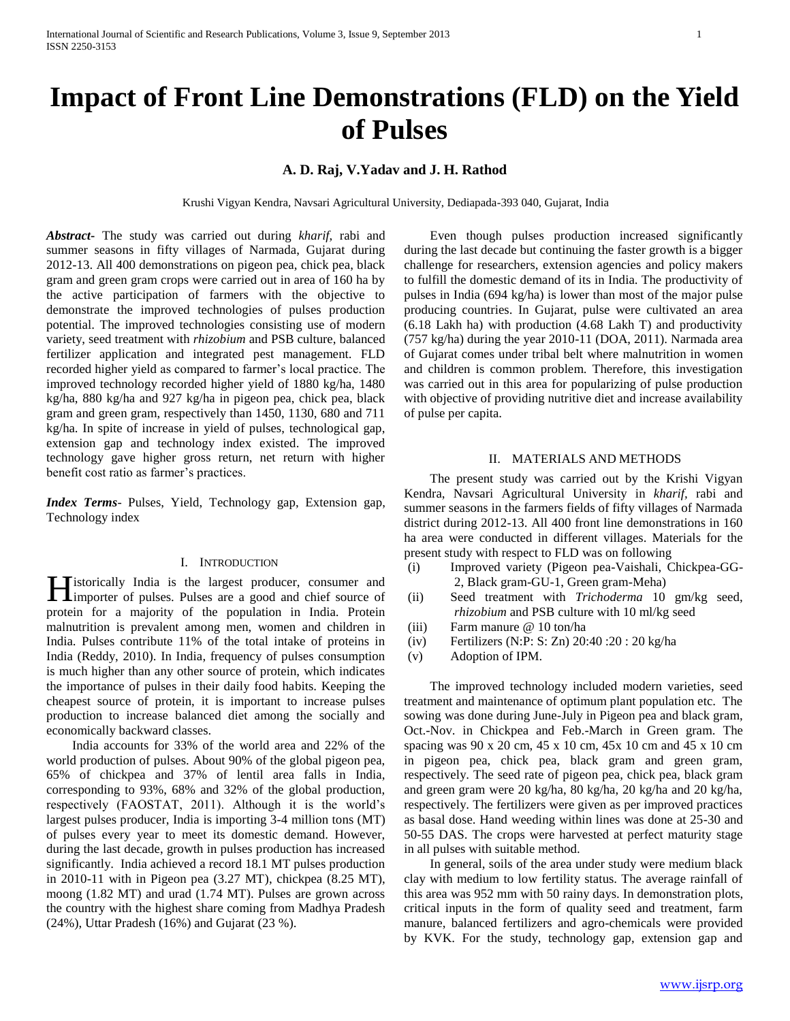# **A. D. Raj, V.Yadav and J. H. Rathod**

Krushi Vigyan Kendra, Navsari Agricultural University, Dediapada-393 040, Gujarat, India

*Abstract***-** The study was carried out during *kharif*, rabi and summer seasons in fifty villages of Narmada, Gujarat during 2012-13. All 400 demonstrations on pigeon pea, chick pea, black gram and green gram crops were carried out in area of 160 ha by the active participation of farmers with the objective to demonstrate the improved technologies of pulses production potential. The improved technologies consisting use of modern variety, seed treatment with *rhizobium* and PSB culture, balanced fertilizer application and integrated pest management. FLD recorded higher yield as compared to farmer's local practice. The improved technology recorded higher yield of 1880 kg/ha, 1480 kg/ha, 880 kg/ha and 927 kg/ha in pigeon pea, chick pea, black gram and green gram, respectively than 1450, 1130, 680 and 711 kg/ha. In spite of increase in yield of pulses, technological gap, extension gap and technology index existed. The improved technology gave higher gross return, net return with higher benefit cost ratio as farmer's practices.

*Index Terms*- Pulses, Yield, Technology gap, Extension gap, Technology index

## I. INTRODUCTION

 $\blacksquare$  istorically India is the largest producer, consumer and **H**istorically India is the largest producer, consumer and importer of pulses. Pulses are a good and chief source of protein for a majority of the population in India. Protein malnutrition is prevalent among men, women and children in India. Pulses contribute 11% of the total intake of proteins in India (Reddy, 2010). In India, frequency of pulses consumption is much higher than any other source of protein, which indicates the importance of pulses in their daily food habits. Keeping the cheapest source of protein, it is important to increase pulses production to increase balanced diet among the socially and economically backward classes.

 India accounts for 33% of the world area and 22% of the world production of pulses. About 90% of the global pigeon pea, 65% of chickpea and 37% of lentil area falls in India, corresponding to 93%, 68% and 32% of the global production, respectively (FAOSTAT, 2011). Although it is the world's largest pulses producer, India is importing 3-4 million tons (MT) of pulses every year to meet its domestic demand. However, during the last decade, growth in pulses production has increased significantly. India achieved a record 18.1 MT pulses production in 2010-11 with in Pigeon pea (3.27 MT), chickpea (8.25 MT), moong (1.82 MT) and urad (1.74 MT). Pulses are grown across the country with the highest share coming from Madhya Pradesh (24%), Uttar Pradesh (16%) and Gujarat (23 %).

 Even though pulses production increased significantly during the last decade but continuing the faster growth is a bigger challenge for researchers, extension agencies and policy makers to fulfill the domestic demand of its in India. The productivity of pulses in India (694 kg/ha) is lower than most of the major pulse producing countries. In Gujarat, pulse were cultivated an area (6.18 Lakh ha) with production (4.68 Lakh T) and productivity (757 kg/ha) during the year 2010-11 (DOA, 2011). Narmada area of Gujarat comes under tribal belt where malnutrition in women and children is common problem. Therefore, this investigation was carried out in this area for popularizing of pulse production with objective of providing nutritive diet and increase availability of pulse per capita.

### II. MATERIALS AND METHODS

 The present study was carried out by the Krishi Vigyan Kendra, Navsari Agricultural University in *kharif,* rabi and summer seasons in the farmers fields of fifty villages of Narmada district during 2012-13. All 400 front line demonstrations in 160 ha area were conducted in different villages. Materials for the present study with respect to FLD was on following

- (i) Improved variety (Pigeon pea-Vaishali, Chickpea-GG-2, Black gram-GU-1, Green gram-Meha)
- (ii) Seed treatment with *Trichoderma* 10 gm/kg seed, *rhizobium* and PSB culture with 10 ml/kg seed
- (iii) Farm manure @ 10 ton/ha
- (iv) Fertilizers (N:P: S: Zn) 20:40 :20 : 20 kg/ha
- (v) Adoption of IPM.

 The improved technology included modern varieties, seed treatment and maintenance of optimum plant population etc. The sowing was done during June-July in Pigeon pea and black gram, Oct.-Nov. in Chickpea and Feb.-March in Green gram. The spacing was 90 x 20 cm, 45 x 10 cm, 45x 10 cm and 45 x 10 cm in pigeon pea, chick pea, black gram and green gram, respectively. The seed rate of pigeon pea, chick pea, black gram and green gram were 20 kg/ha, 80 kg/ha, 20 kg/ha and 20 kg/ha, respectively. The fertilizers were given as per improved practices as basal dose. Hand weeding within lines was done at 25-30 and 50-55 DAS. The crops were harvested at perfect maturity stage in all pulses with suitable method.

 In general, soils of the area under study were medium black clay with medium to low fertility status. The average rainfall of this area was 952 mm with 50 rainy days. In demonstration plots, critical inputs in the form of quality seed and treatment, farm manure, balanced fertilizers and agro-chemicals were provided by KVK. For the study, technology gap, extension gap and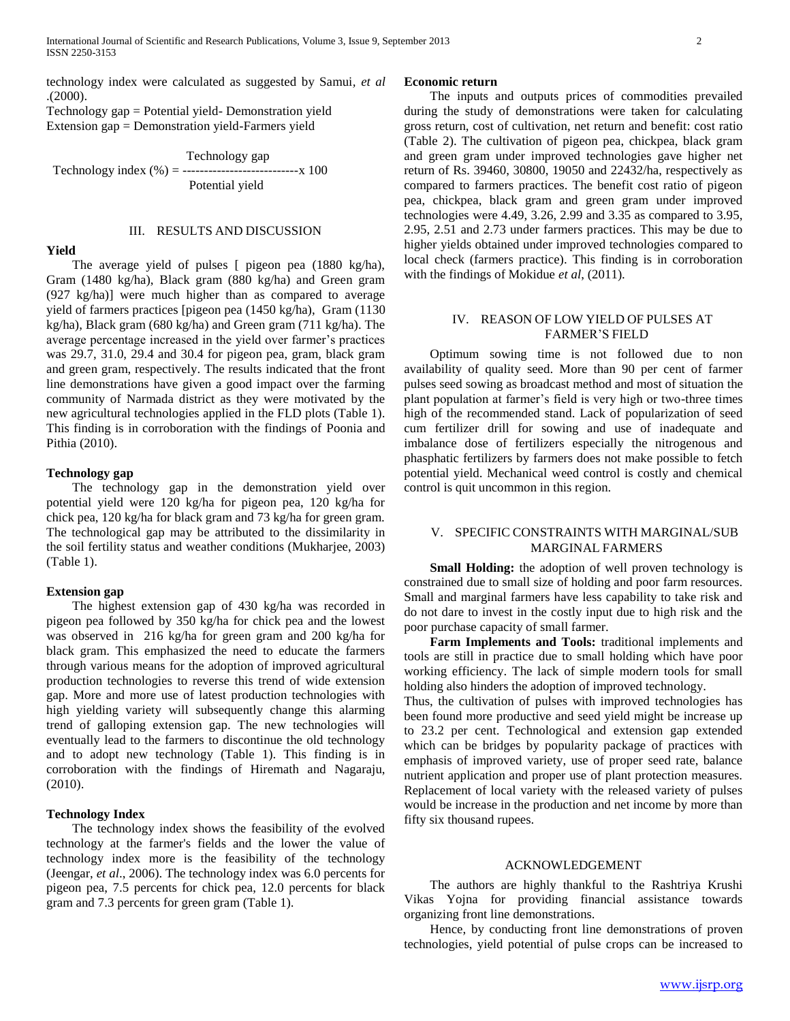technology index were calculated as suggested by Samui*, et al* .(2000).

Technology gap = Potential yield- Demonstration yield Extension gap = Demonstration yield-Farmers yield

 Technology gap Technology index  $(\% ) =$  ------------------------------ x 100 Potential yield

#### III. RESULTS AND DISCUSSION

### **Yield**

 The average yield of pulses [ pigeon pea (1880 kg/ha), Gram (1480 kg/ha), Black gram (880 kg/ha) and Green gram (927 kg/ha)] were much higher than as compared to average yield of farmers practices [pigeon pea (1450 kg/ha), Gram (1130 kg/ha), Black gram (680 kg/ha) and Green gram (711 kg/ha). The average percentage increased in the yield over farmer's practices was 29.7, 31.0, 29.4 and 30.4 for pigeon pea, gram, black gram and green gram, respectively. The results indicated that the front line demonstrations have given a good impact over the farming community of Narmada district as they were motivated by the new agricultural technologies applied in the FLD plots (Table 1). This finding is in corroboration with the findings of Poonia and Pithia (2010).

## **Technology gap**

 The technology gap in the demonstration yield over potential yield were 120 kg/ha for pigeon pea, 120 kg/ha for chick pea, 120 kg/ha for black gram and 73 kg/ha for green gram. The technological gap may be attributed to the dissimilarity in the soil fertility status and weather conditions (Mukharjee, 2003) (Table 1).

## **Extension gap**

 The highest extension gap of 430 kg/ha was recorded in pigeon pea followed by 350 kg/ha for chick pea and the lowest was observed in 216 kg/ha for green gram and 200 kg/ha for black gram. This emphasized the need to educate the farmers through various means for the adoption of improved agricultural production technologies to reverse this trend of wide extension gap. More and more use of latest production technologies with high yielding variety will subsequently change this alarming trend of galloping extension gap. The new technologies will eventually lead to the farmers to discontinue the old technology and to adopt new technology (Table 1). This finding is in corroboration with the findings of Hiremath and Nagaraju, (2010).

## **Technology Index**

 The technology index shows the feasibility of the evolved technology at the farmer's fields and the lower the value of technology index more is the feasibility of the technology (Jeengar, *et al*., 2006). The technology index was 6.0 percents for pigeon pea, 7.5 percents for chick pea, 12.0 percents for black gram and 7.3 percents for green gram (Table 1).

#### **Economic return**

 The inputs and outputs prices of commodities prevailed during the study of demonstrations were taken for calculating gross return, cost of cultivation, net return and benefit: cost ratio (Table 2). The cultivation of pigeon pea, chickpea, black gram and green gram under improved technologies gave higher net return of Rs. 39460, 30800, 19050 and 22432/ha, respectively as compared to farmers practices. The benefit cost ratio of pigeon pea, chickpea, black gram and green gram under improved technologies were 4.49, 3.26, 2.99 and 3.35 as compared to 3.95, 2.95, 2.51 and 2.73 under farmers practices. This may be due to higher yields obtained under improved technologies compared to local check (farmers practice). This finding is in corroboration with the findings of Mokidue *et al*, (2011).

## IV. REASON OF LOW YIELD OF PULSES AT FARMER'S FIELD

 Optimum sowing time is not followed due to non availability of quality seed. More than 90 per cent of farmer pulses seed sowing as broadcast method and most of situation the plant population at farmer's field is very high or two-three times high of the recommended stand. Lack of popularization of seed cum fertilizer drill for sowing and use of inadequate and imbalance dose of fertilizers especially the nitrogenous and phasphatic fertilizers by farmers does not make possible to fetch potential yield. Mechanical weed control is costly and chemical control is quit uncommon in this region.

## V. SPECIFIC CONSTRAINTS WITH MARGINAL/SUB MARGINAL FARMERS

**Small Holding:** the adoption of well proven technology is constrained due to small size of holding and poor farm resources. Small and marginal farmers have less capability to take risk and do not dare to invest in the costly input due to high risk and the poor purchase capacity of small farmer.

 **Farm Implements and Tools:** traditional implements and tools are still in practice due to small holding which have poor working efficiency. The lack of simple modern tools for small holding also hinders the adoption of improved technology.

Thus, the cultivation of pulses with improved technologies has been found more productive and seed yield might be increase up to 23.2 per cent. Technological and extension gap extended which can be bridges by popularity package of practices with emphasis of improved variety, use of proper seed rate, balance nutrient application and proper use of plant protection measures. Replacement of local variety with the released variety of pulses would be increase in the production and net income by more than fifty six thousand rupees.

#### ACKNOWLEDGEMENT

 The authors are highly thankful to the Rashtriya Krushi Vikas Yojna for providing financial assistance towards organizing front line demonstrations.

 Hence, by conducting front line demonstrations of proven technologies, yield potential of pulse crops can be increased to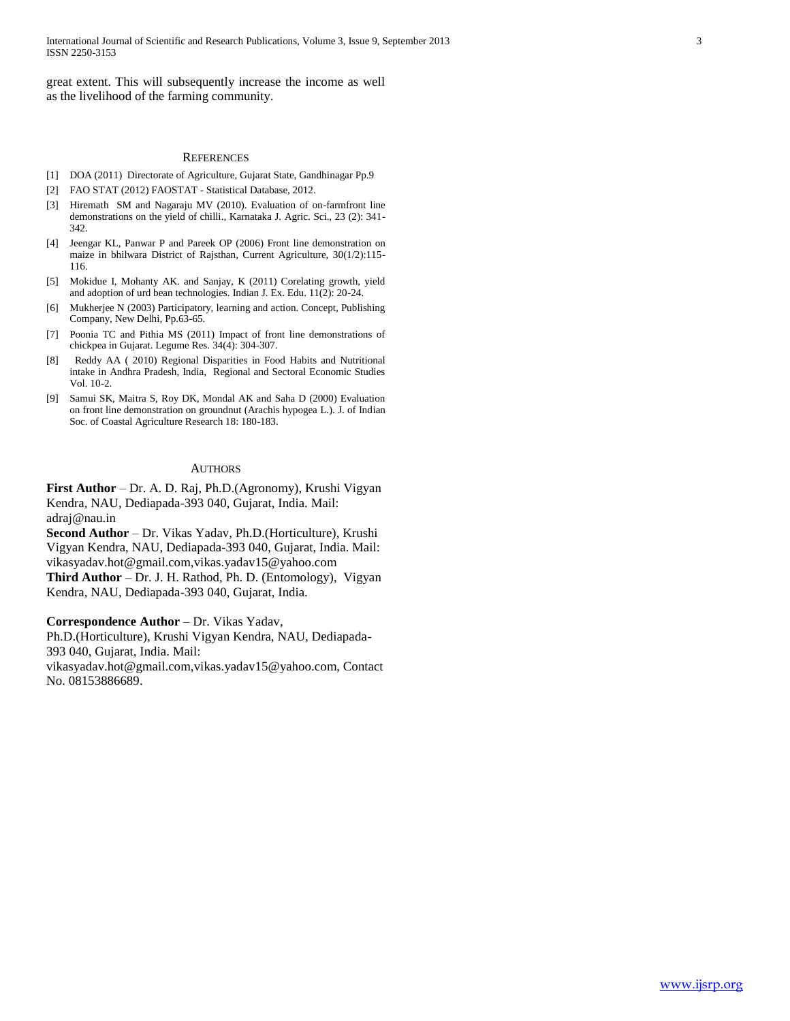great extent. This will subsequently increase the income as well as the livelihood of the farming community.

### **REFERENCES**

- [1] DOA (2011) Directorate of Agriculture, Gujarat State, Gandhinagar Pp.9
- [2] FAO STAT (2012) FAOSTAT Statistical Database, 2012.
- [3] Hiremath SM and Nagaraju MV (2010). Evaluation of on-farmfront line demonstrations on the yield of chilli., Karnataka J. Agric. Sci., 23 (2): 341- 342.
- [4] Jeengar KL, Panwar P and Pareek OP (2006) Front line demonstration on maize in bhilwara District of Rajsthan, Current Agriculture, 30(1/2):115- 116.
- [5] Mokidue I, Mohanty AK. and Sanjay, K (2011) Corelating growth, yield and adoption of urd bean technologies. Indian J. Ex. Edu. 11(2): 20-24.
- [6] Mukherjee N (2003) Participatory, learning and action. Concept, Publishing Company, New Delhi, Pp.63-65.
- [7] Poonia TC and Pithia MS (2011) Impact of front line demonstrations of chickpea in Gujarat. Legume Res. 34(4): 304-307.
- [8] Reddy AA ( 2010) Regional Disparities in Food Habits and Nutritional intake in Andhra Pradesh, India, Regional and Sectoral Economic Studies Vol. 10-2.
- [9] Samui SK, Maitra S, Roy DK, Mondal AK and Saha D (2000) Evaluation on front line demonstration on groundnut (Arachis hypogea L.). J. of Indian Soc. of Coastal Agriculture Research 18: 180-183.

#### AUTHORS

**First Author** – Dr. A. D. Raj, Ph.D.(Agronomy), Krushi Vigyan Kendra, NAU, Dediapada-393 040, Gujarat, India. Mail: adraj@nau.in

**Second Author** – Dr. Vikas Yadav, Ph.D.(Horticulture), Krushi Vigyan Kendra, NAU, Dediapada-393 040, Gujarat, India. Mail: vikasyadav.hot@gmail.com,vikas.yadav15@yahoo.com **Third Author** – Dr. J. H. Rathod, Ph. D. (Entomology), Vigyan

Kendra, NAU, Dediapada-393 040, Gujarat, India.

**Correspondence Author** – Dr. Vikas Yadav,

Ph.D.(Horticulture), Krushi Vigyan Kendra, NAU, Dediapada-393 040, Gujarat, India. Mail:

vikasyadav.hot@gmail.com,vikas.yadav15@yahoo.com, Contact No. 08153886689.